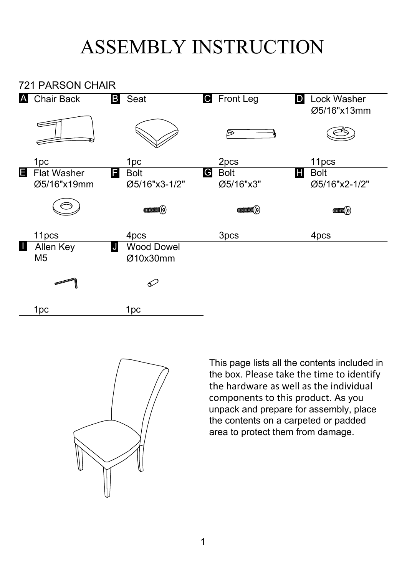## ASSEMBLY INSTRUCTION





This page lists all the contents included in the box. Please take the time to identify the hardware as well as the individual components to this product. As you unpack and prepare for assembly, place the contents on a carpeted or padded area to protect them from damage.